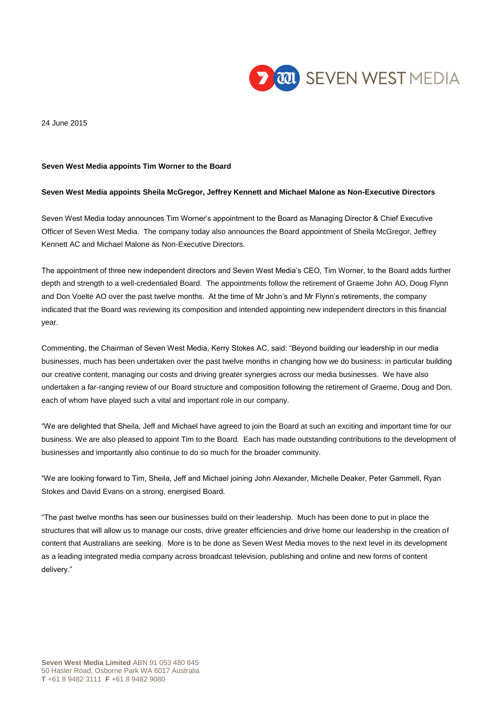

24 June 2015

### **Seven West Media appoints Tim Worner to the Board**

## **Seven West Media appoints Sheila McGregor, Jeffrey Kennett and Michael Malone as Non-Executive Directors**

Seven West Media today announces Tim Worner's appointment to the Board as Managing Director & Chief Executive Officer of Seven West Media. The company today also announces the Board appointment of Sheila McGregor, Jeffrey Kennett AC and Michael Malone as Non-Executive Directors.

The appointment of three new independent directors and Seven West Media's CEO, Tim Worner, to the Board adds further depth and strength to a well-credentialed Board. The appointments follow the retirement of Graeme John AO, Doug Flynn and Don Voelte AO over the past twelve months. At the time of Mr John's and Mr Flynn's retirements, the company indicated that the Board was reviewing its composition and intended appointing new independent directors in this financial year.

Commenting, the Chairman of Seven West Media, Kerry Stokes AC, said: "Beyond building our leadership in our media businesses, much has been undertaken over the past twelve months in changing how we do business: in particular building our creative content, managing our costs and driving greater synergies across our media businesses. We have also undertaken a far-ranging review of our Board structure and composition following the retirement of Graeme, Doug and Don, each of whom have played such a vital and important role in our company.

"We are delighted that Sheila, Jeff and Michael have agreed to join the Board at such an exciting and important time for our business. We are also pleased to appoint Tim to the Board. Each has made outstanding contributions to the development of businesses and importantly also continue to do so much for the broader community.

"We are looking forward to Tim, Sheila, Jeff and Michael joining John Alexander, Michelle Deaker, Peter Gammell, Ryan Stokes and David Evans on a strong, energised Board.

"The past twelve months has seen our businesses build on their leadership. Much has been done to put in place the structures that will allow us to manage our costs, drive greater efficiencies and drive home our leadership in the creation of content that Australians are seeking. More is to be done as Seven West Media moves to the next level in its development as a leading integrated media company across broadcast television, publishing and online and new forms of content delivery."